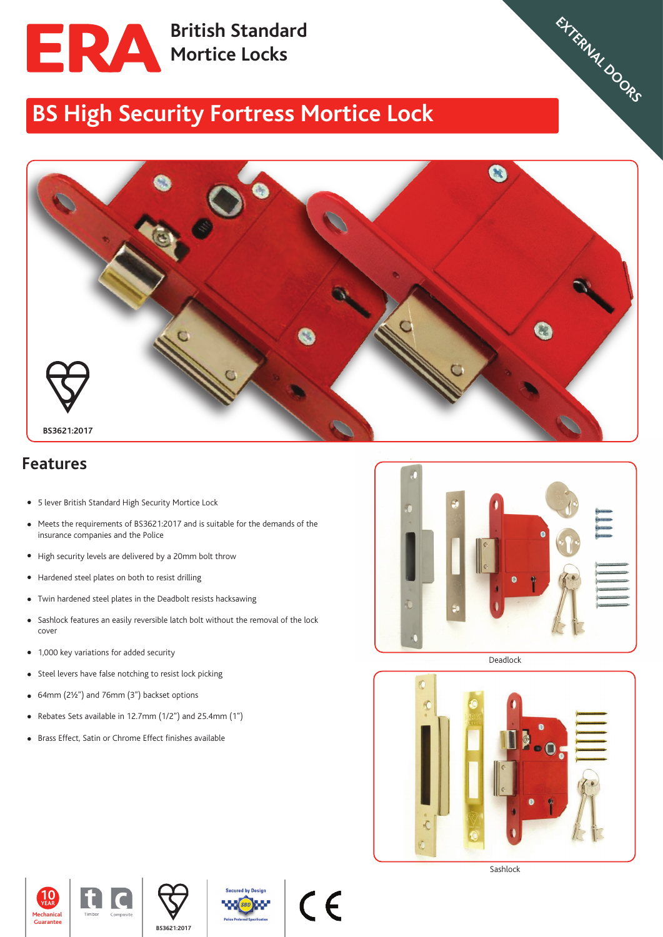

**British Standard Mortice Locks** 

## **BS High Security Fortress Mortice Lock**



## **Features**

- 5 lever British Standard High Security Mortice Lock
- Meets the requirements of BS3621:2017 and is suitable for the demands of the insurance companies and the Police
- High security levels are delivered by a 20mm bolt throw
- Hardened steel plates on both to resist drilling
- Twin hardened steel plates in the Deadbolt resists hacksawing
- Sashlock features an easily reversible latch bolt without the removal of the lock cover
- 1,000 key variations for added security
- Steel levers have false notching to resist lock picking
- 64mm (2½") and 76mm (3") backset options
- Rebates Sets available in 12.7mm (1/2") and 25.4mm (1")
- Brass Effect, Satin or Chrome Effect finishes available



**WEATHERSEALS STEEL SLIDING DOORS CROMPTON VIRTICAL TILT & TURN WINDOWS CASEMENT WINDOWS SHED,GARAGES,** EXTERNAL DOORS